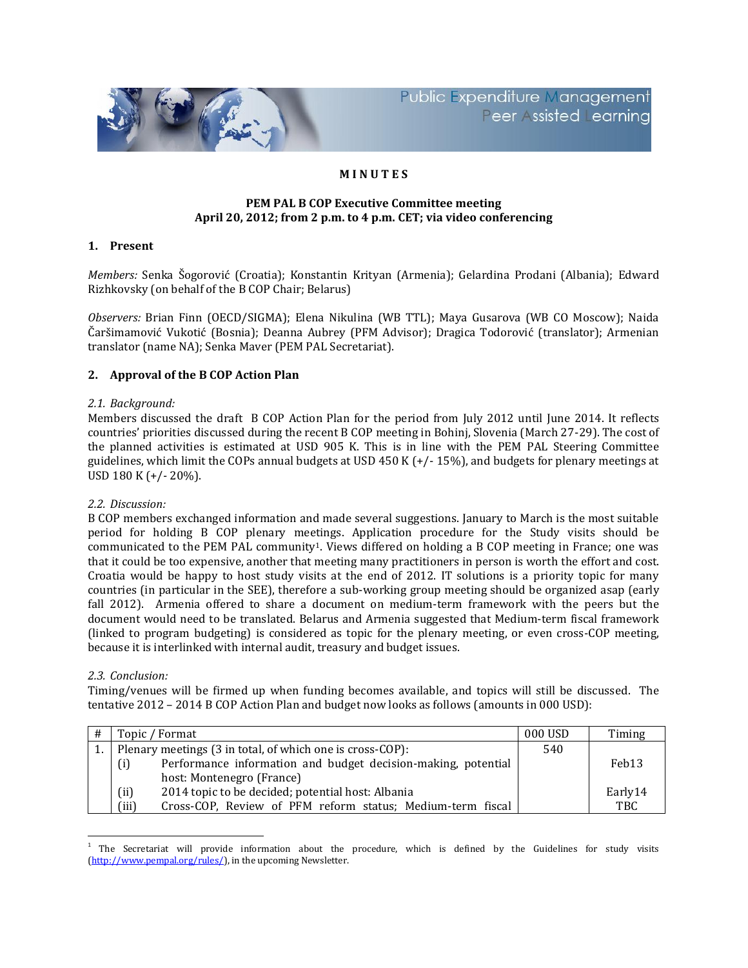

**Public Expenditure Management** Peer ssisted earning

# **M I N U T E S**

### **PEM PAL B COP Executive Committee meeting April 20, 2012; from 2 p.m. to 4 p.m. CET; via video conferencing**

## **1. Present**

*Members:* Senka Šogorović (Croatia); Konstantin Krityan (Armenia); Gelardina Prodani (Albania); Edward Rizhkovsky (on behalf of the B COP Chair; Belarus)

*Observers:* Brian Finn (OECD/SIGMA); Elena Nikulina (WB TTL); Maya Gusarova (WB CO Moscow); Naida Čaršimamović Vukotić (Bosnia); Deanna Aubrey (PFM Advisor); Dragica Todorović (translator); Armenian translator (name NA); Senka Maver (PEM PAL Secretariat).

### **2. Approval of the B COP Action Plan**

### *2.1. Background:*

Members discussed the draft B COP Action Plan for the period from July 2012 until June 2014. It reflects countries' priorities discussed during the recent B COP meeting in Bohinj, Slovenia (March 27-29). The cost of the planned activities is estimated at USD 905 K. This is in line with the PEM PAL Steering Committee guidelines, which limit the COPs annual budgets at USD 450 K (+/- 15%), and budgets for plenary meetings at USD 180 K (+/- 20%).

#### *2.2. Discussion:*

B COP members exchanged information and made several suggestions. January to March is the most suitable period for holding B COP plenary meetings. Application procedure for the Study visits should be communicated to the PEM PAL community<sup>1</sup>. Views differed on holding a B COP meeting in France; one was that it could be too expensive, another that meeting many practitioners in person is worth the effort and cost. Croatia would be happy to host study visits at the end of 2012. IT solutions is a priority topic for many countries (in particular in the SEE), therefore a sub-working group meeting should be organized asap (early fall 2012). Armenia offered to share a document on medium-term framework with the peers but the document would need to be translated. Belarus and Armenia suggested that Medium-term fiscal framework (linked to program budgeting) is considered as topic for the plenary meeting, or even cross-COP meeting, because it is interlinked with internal audit, treasury and budget issues.

#### *2.3. Conclusion:*

Timing/venues will be firmed up when funding becomes available, and topics will still be discussed. The tentative 2012 – 2014 B COP Action Plan and budget now looks as follows (amounts in 000 USD):

| # | Topic / Format                                                       | 000 USD | Timing            |
|---|----------------------------------------------------------------------|---------|-------------------|
|   | Plenary meetings (3 in total, of which one is cross-COP):            | 540     |                   |
|   | Performance information and budget decision-making, potential<br>(i) |         | Feb <sub>13</sub> |
|   | host: Montenegro (France)                                            |         |                   |
|   | 2014 topic to be decided; potential host: Albania<br>(ii)            |         | Early14           |
|   | (iii)<br>Cross-COP, Review of PFM reform status; Medium-term fiscal  |         | <b>TBC</b>        |

 $\overline{\phantom{a}}$ <sup>1</sup> The Secretariat will provide information about the procedure, which is defined by the Guidelines for study visits [\(http://www.pempal.org/rules/\)](http://www.pempal.org/rules/), in the upcoming Newsletter.